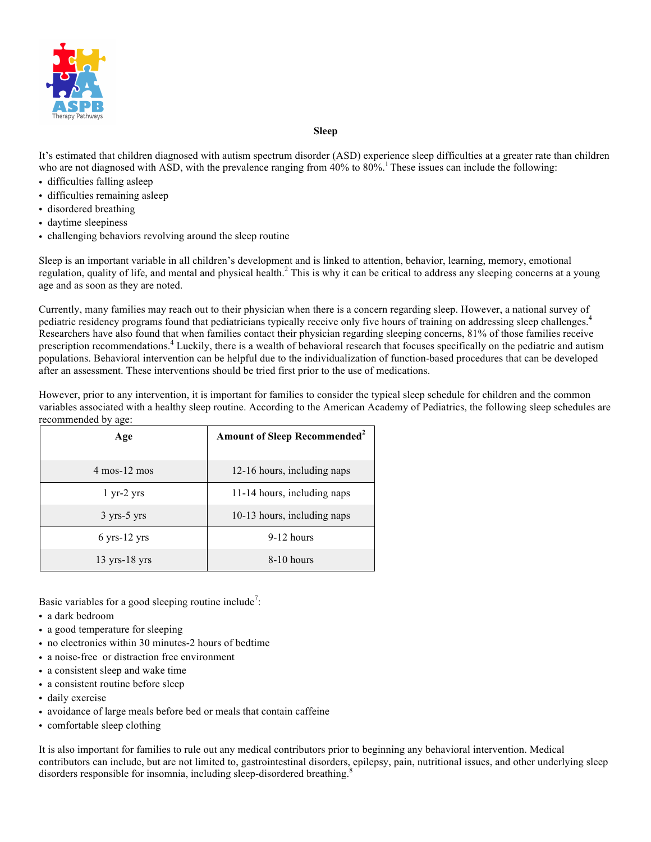

#### **Sleep**

It's estimated that children diagnosed with autism spectrum disorder (ASD) experience sleep difficulties at a greater rate than children who are not diagnosed with ASD, with the prevalence ranging from 40% to 80%.<sup>1</sup> These issues can include the following:

- difficulties falling asleep
- difficulties remaining asleep
- disordered breathing
- daytime sleepiness
- challenging behaviors revolving around the sleep routine

Sleep is an important variable in all children's development and is linked to attention, behavior, learning, memory, emotional regulation, quality of life, and mental and physical health.<sup>2</sup> This is why it can be critical to address any sleeping concerns at a young age and as soon as they are noted.

Currently, many families may reach out to their physician when there is a concern regarding sleep. However, a national survey of pediatric residency programs found that pediatricians typically receive only five hours of training on addressing sleep challenges.<sup>4</sup> Researchers have also found that when families contact their physician regarding sleeping concerns, 81% of those families receive prescription recommendations.<sup>4</sup> Luckily, there is a wealth of behavioral research that focuses specifically on the pediatric and autism populations. Behavioral intervention can be helpful due to the individualization of function-based procedures that can be developed after an assessment. These interventions should be tried first prior to the use of medications.

However, prior to any intervention, it is important for families to consider the typical sleep schedule for children and the common variables associated with a healthy sleep routine. According to the American Academy of Pediatrics, the following sleep schedules are recommended by age:

| Age                              | <b>Amount of Sleep Recommended<sup>2</sup></b> |
|----------------------------------|------------------------------------------------|
| $4 \text{ mos} - 12 \text{ mos}$ | 12-16 hours, including naps                    |
| $1 \text{ yr-2} \text{ yrs}$     | 11-14 hours, including naps                    |
| $3$ yrs- $5$ yrs                 | 10-13 hours, including naps                    |
| $6$ yrs-12 yrs                   | $9-12$ hours                                   |
| $13 \text{ yrs}-18 \text{ yrs}$  | $8-10$ hours                                   |

Basic variables for a good sleeping routine include<sup>7</sup>:

- a dark bedroom
- a good temperature for sleeping
- no electronics within 30 minutes-2 hours of bedtime
- a noise-free or distraction free environment
- a consistent sleep and wake time
- a consistent routine before sleep
- daily exercise
- avoidance of large meals before bed or meals that contain caffeine
- comfortable sleep clothing

It is also important for families to rule out any medical contributors prior to beginning any behavioral intervention. Medical contributors can include, but are not limited to, gastrointestinal disorders, epilepsy, pain, nutritional issues, and other underlying sleep disorders responsible for insomnia, including sleep-disordered breathing.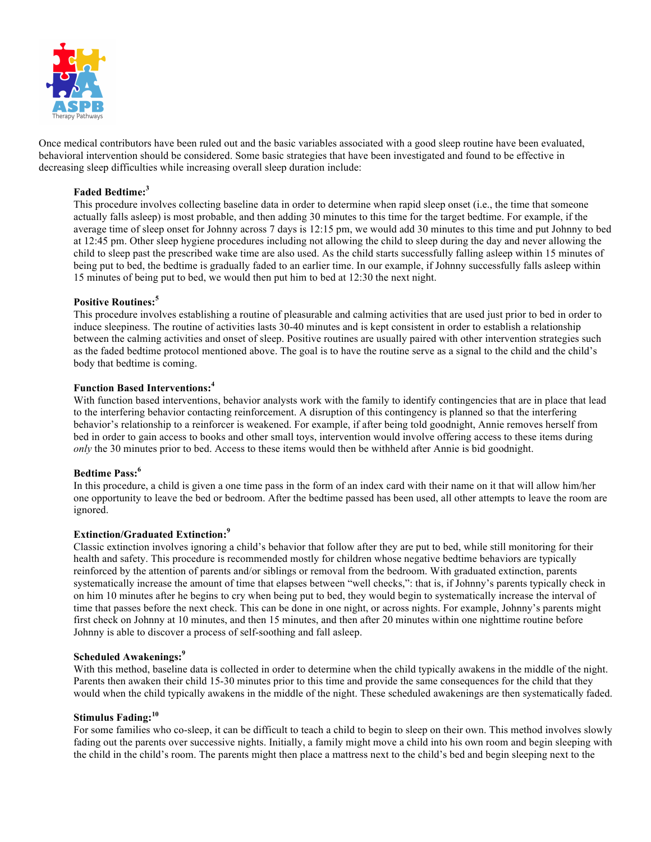

Once medical contributors have been ruled out and the basic variables associated with a good sleep routine have been evaluated, behavioral intervention should be considered. Some basic strategies that have been investigated and found to be effective in decreasing sleep difficulties while increasing overall sleep duration include:

## **Faded Bedtime:<sup>3</sup>**

This procedure involves collecting baseline data in order to determine when rapid sleep onset (i.e., the time that someone actually falls asleep) is most probable, and then adding 30 minutes to this time for the target bedtime. For example, if the average time of sleep onset for Johnny across 7 days is 12:15 pm, we would add 30 minutes to this time and put Johnny to bed at 12:45 pm. Other sleep hygiene procedures including not allowing the child to sleep during the day and never allowing the child to sleep past the prescribed wake time are also used. As the child starts successfully falling asleep within 15 minutes of being put to bed, the bedtime is gradually faded to an earlier time. In our example, if Johnny successfully falls asleep within 15 minutes of being put to bed, we would then put him to bed at 12:30 the next night.

## **Positive Routines:<sup>5</sup>**

This procedure involves establishing a routine of pleasurable and calming activities that are used just prior to bed in order to induce sleepiness. The routine of activities lasts 30-40 minutes and is kept consistent in order to establish a relationship between the calming activities and onset of sleep. Positive routines are usually paired with other intervention strategies such as the faded bedtime protocol mentioned above. The goal is to have the routine serve as a signal to the child and the child's body that bedtime is coming.

## **Function Based Interventions:<sup>4</sup>**

With function based interventions, behavior analysts work with the family to identify contingencies that are in place that lead to the interfering behavior contacting reinforcement. A disruption of this contingency is planned so that the interfering behavior's relationship to a reinforcer is weakened. For example, if after being told goodnight, Annie removes herself from bed in order to gain access to books and other small toys, intervention would involve offering access to these items during *only* the 30 minutes prior to bed. Access to these items would then be withheld after Annie is bid goodnight.

## **Bedtime Pass:<sup>6</sup>**

In this procedure, a child is given a one time pass in the form of an index card with their name on it that will allow him/her one opportunity to leave the bed or bedroom. After the bedtime passed has been used, all other attempts to leave the room are ignored.

## **Extinction/Graduated Extinction:<sup>9</sup>**

Classic extinction involves ignoring a child's behavior that follow after they are put to bed, while still monitoring for their health and safety. This procedure is recommended mostly for children whose negative bedtime behaviors are typically reinforced by the attention of parents and/or siblings or removal from the bedroom. With graduated extinction, parents systematically increase the amount of time that elapses between "well checks,": that is, if Johnny's parents typically check in on him 10 minutes after he begins to cry when being put to bed, they would begin to systematically increase the interval of time that passes before the next check. This can be done in one night, or across nights. For example, Johnny's parents might first check on Johnny at 10 minutes, and then 15 minutes, and then after 20 minutes within one nighttime routine before Johnny is able to discover a process of self-soothing and fall asleep.

## **Scheduled Awakenings:<sup>9</sup>**

With this method, baseline data is collected in order to determine when the child typically awakens in the middle of the night. Parents then awaken their child 15-30 minutes prior to this time and provide the same consequences for the child that they would when the child typically awakens in the middle of the night. These scheduled awakenings are then systematically faded.

# **Stimulus Fading:<sup>10</sup>**

For some families who co-sleep, it can be difficult to teach a child to begin to sleep on their own. This method involves slowly fading out the parents over successive nights. Initially, a family might move a child into his own room and begin sleeping with the child in the child's room. The parents might then place a mattress next to the child's bed and begin sleeping next to the